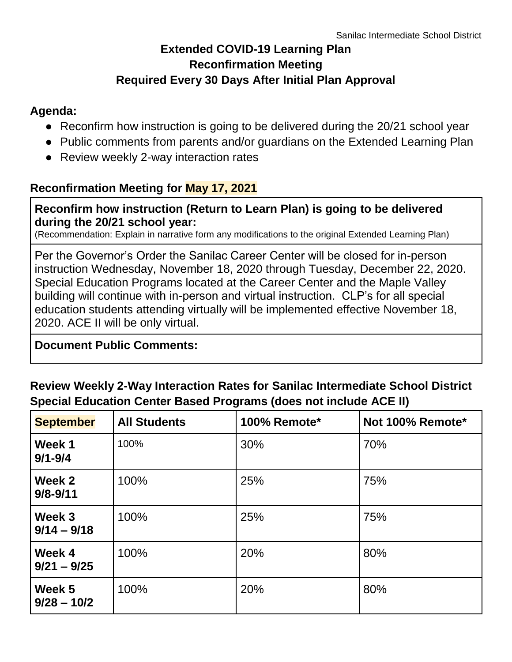# **Extended COVID-19 Learning Plan Reconfirmation Meeting Required Every 30 Days After Initial Plan Approval**

#### **Agenda:**

- Reconfirm how instruction is going to be delivered during the 20/21 school year
- Public comments from parents and/or guardians on the Extended Learning Plan
- Review weekly 2-way interaction rates

## **Reconfirmation Meeting for May 17, 2021**

#### **Reconfirm how instruction (Return to Learn Plan) is going to be delivered during the 20/21 school year:**

(Recommendation: Explain in narrative form any modifications to the original Extended Learning Plan)

Per the Governor's Order the Sanilac Career Center will be closed for in-person instruction Wednesday, November 18, 2020 through Tuesday, December 22, 2020. Special Education Programs located at the Career Center and the Maple Valley building will continue with in-person and virtual instruction. CLP's for all special education students attending virtually will be implemented effective November 18, 2020. ACE II will be only virtual.

## **Document Public Comments:**

# **Review Weekly 2-Way Interaction Rates for Sanilac Intermediate School District Special Education Center Based Programs (does not include ACE II)**

| <b>September</b>        | <b>All Students</b> | 100% Remote* | Not 100% Remote* |
|-------------------------|---------------------|--------------|------------------|
| Week 1<br>$9/1 - 9/4$   | 100%                | 30%          | 70%              |
| Week 2<br>$9/8 - 9/11$  | 100%                | 25%          | 75%              |
| Week 3<br>$9/14 - 9/18$ | 100%                | 25%          | 75%              |
| Week 4<br>$9/21 - 9/25$ | 100%                | 20%          | 80%              |
| Week 5<br>$9/28 - 10/2$ | 100%                | 20%          | 80%              |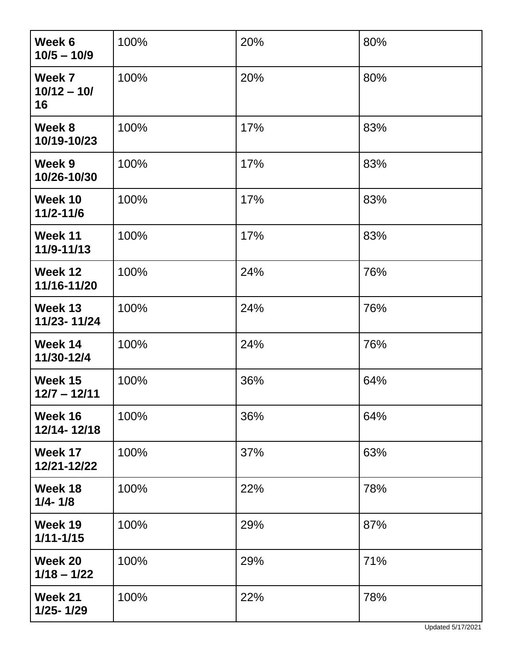| Week 6<br>$10/5 - 10/9$       | 100% | 20% | 80% |
|-------------------------------|------|-----|-----|
| Week 7<br>$10/12 - 10/$<br>16 | 100% | 20% | 80% |
| Week 8<br>10/19-10/23         | 100% | 17% | 83% |
| Week 9<br>10/26-10/30         | 100% | 17% | 83% |
| Week 10<br>$11/2 - 11/6$      | 100% | 17% | 83% |
| Week 11<br>11/9-11/13         | 100% | 17% | 83% |
| Week 12<br>11/16-11/20        | 100% | 24% | 76% |
| Week 13<br>11/23-11/24        | 100% | 24% | 76% |
| Week 14<br>11/30-12/4         | 100% | 24% | 76% |
| Week 15<br>$12/7 - 12/11$     | 100% | 36% | 64% |
| Week 16<br>12/14-12/18        | 100% | 36% | 64% |
| Week 17<br>12/21-12/22        | 100% | 37% | 63% |
| Week 18<br>$1/4 - 1/8$        | 100% | 22% | 78% |
| Week 19<br>$1/11 - 1/15$      | 100% | 29% | 87% |
| Week 20<br>$1/18 - 1/22$      | 100% | 29% | 71% |
| Week 21<br>1/25-1/29          | 100% | 22% | 78% |